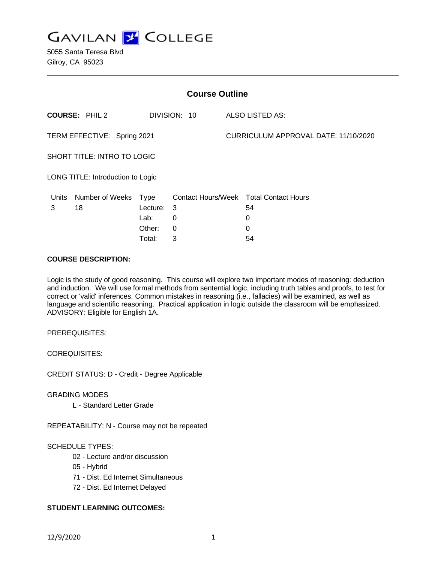

5055 Santa Teresa Blvd Gilroy, CA 95023

| <b>Course Outline</b>              |                       |          |              |  |                                        |  |
|------------------------------------|-----------------------|----------|--------------|--|----------------------------------------|--|
|                                    | <b>COURSE: PHIL 2</b> |          | DIVISION: 10 |  | ALSO LISTED AS:                        |  |
| TERM EFFECTIVE: Spring 2021        |                       |          |              |  | CURRICULUM APPROVAL DATE: 11/10/2020   |  |
| <b>SHORT TITLE: INTRO TO LOGIC</b> |                       |          |              |  |                                        |  |
| LONG TITLE: Introduction to Logic  |                       |          |              |  |                                        |  |
| Units                              | Number of Weeks Type  |          |              |  | Contact Hours/Week Total Contact Hours |  |
| 3                                  | 18                    | Lecture: | 3            |  | 54                                     |  |
|                                    |                       | Lab:     | 0            |  | 0                                      |  |
|                                    |                       | Other:   | 0            |  | 0                                      |  |
|                                    |                       | Total:   | 3            |  | 54                                     |  |

### **COURSE DESCRIPTION:**

Logic is the study of good reasoning. This course will explore two important modes of reasoning: deduction and induction. We will use formal methods from sentential logic, including truth tables and proofs, to test for correct or 'valid' inferences. Common mistakes in reasoning (i.e., fallacies) will be examined, as well as language and scientific reasoning. Practical application in logic outside the classroom will be emphasized. ADVISORY: Eligible for English 1A.

PREREQUISITES:

COREQUISITES:

CREDIT STATUS: D - Credit - Degree Applicable

GRADING MODES

L - Standard Letter Grade

REPEATABILITY: N - Course may not be repeated

### SCHEDULE TYPES:

- 02 Lecture and/or discussion
- 05 Hybrid
- 71 Dist. Ed Internet Simultaneous
- 72 Dist. Ed Internet Delayed

### **STUDENT LEARNING OUTCOMES:**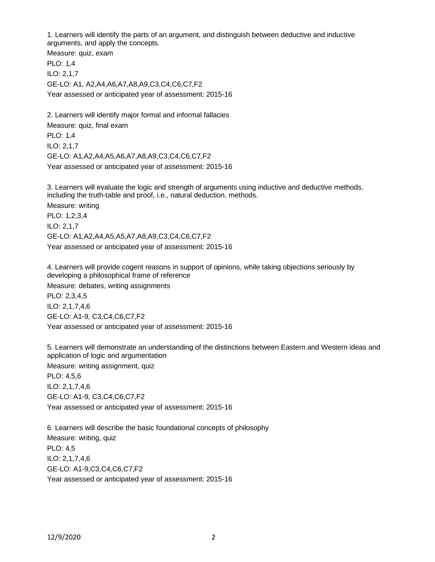1. Learners will identify the parts of an argument, and distinguish between deductive and inductive arguments, and apply the concepts.

Measure: quiz, exam PLO: 1,4 ILO: 2,1,7 GE-LO: A1, A2,A4,A6,A7,A8,A9,C3,C4,C6,C7,F2 Year assessed or anticipated year of assessment: 2015-16

2. Learners will identify major formal and informal fallacies Measure: quiz, final exam PLO: 1,4 ILO: 2,1,7 GE-LO: A1,A2,A4,A5,A6,A7,A8,A9,C3,C4,C6,C7,F2 Year assessed or anticipated year of assessment: 2015-16

3. Learners will evaluate the logic and strength of arguments using inductive and deductive methods, including the truth-table and proof, i.e., natural deduction, methods. Measure: writing PLO: 1,2,3,4 ILO: 2,1,7 GE-LO: A1,A2,A4,A5,A5,A7,A8,A9,C3,C4,C6,C7,F2 Year assessed or anticipated year of assessment: 2015-16

4. Learners will provide cogent reasons in support of opinions, while taking objections seriously by developing a philosophical frame of reference

Measure: debates, writing assignments PLO: 2,3,4,5 ILO: 2,1,7,4,6 GE-LO: A1-9, C3,C4,C6,C7,F2 Year assessed or anticipated year of assessment: 2015-16

5. Learners will demonstrate an understanding of the distinctions between Eastern and Western ideas and application of logic and argumentation

Measure: writing assignment, quiz

PLO: 4,5,6 ILO: 2,1,7,4,6 GE-LO: A1-9, C3,C4,C6,C7,F2 Year assessed or anticipated year of assessment: 2015-16

6. Learners will describe the basic foundational concepts of philosophy Measure: writing, quiz PLO: 4,5 ILO: 2,1,7,4,6 GE-LO: A1-9,C3,C4,C6,C7,F2 Year assessed or anticipated year of assessment: 2015-16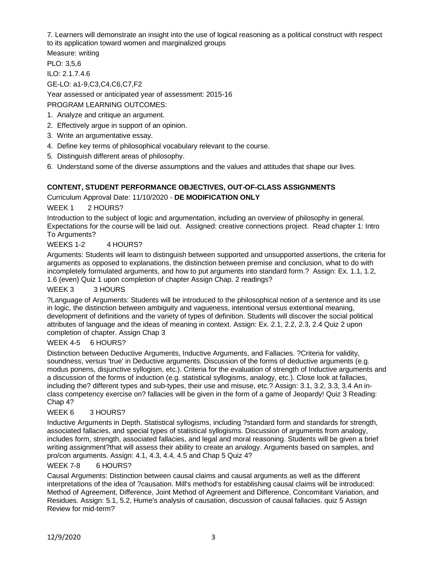7. Learners will demonstrate an insight into the use of logical reasoning as a political construct with respect to its application toward women and marginalized groups

Measure: writing

PLO: 3,5,6

ILO: 2.1.7.4.6

GE-LO: a1-9,C3,C4,C6,C7,F2

Year assessed or anticipated year of assessment: 2015-16 PROGRAM LEARNING OUTCOMES:

1. Analyze and critique an argument.

- 2. Effectively argue in support of an opinion.
- 3. Write an argumentative essay.
- 4. Define key terms of philosophical vocabulary relevant to the course.
- 5. Distinguish different areas of philosophy.
- 6. Understand some of the diverse assumptions and the values and attitudes that shape our lives.

# **CONTENT, STUDENT PERFORMANCE OBJECTIVES, OUT-OF-CLASS ASSIGNMENTS**

Curriculum Approval Date: 11/10/2020 - **DE MODIFICATION ONLY**

WEEK 1 2 HOURS?

Introduction to the subject of logic and argumentation, including an overview of philosophy in general. Expectations for the course will be laid out. Assigned: creative connections project. Read chapter 1: Intro To Arguments?

### WEEKS 1-2 4 HOURS?

Arguments: Students will learn to distinguish between supported and unsupported assertions, the criteria for arguments as opposed to explanations, the distinction between premise and conclusion, what to do with incompletely formulated arguments, and how to put arguments into standard form.? Assign: Ex. 1.1, 1.2, 1.6 (even) Quiz 1 upon completion of chapter Assign Chap. 2 readings?

### WEEK 3 3 HOURS

?Language of Arguments: Students will be introduced to the philosophical notion of a sentence and its use in logic, the distinction between ambiguity and vagueness, intentional versus extentional meaning, development of definitions and the variety of types of definition. Students will discover the social political attributes of language and the ideas of meaning in context. Assign: Ex. 2.1, 2.2, 2.3, 2.4 Quiz 2 upon completion of chapter. Assign Chap 3

### WEEK 4-5 6 HOURS?

Distinction between Deductive Arguments, Inductive Arguments, and Fallacies. ?Criteria for validity, soundness, versus 'true' in Deductive arguments. Discussion of the forms of deductive arguments (e.g. modus ponens, disjunctive syllogism, etc.). Criteria for the evaluation of strength of Inductive arguments and a discussion of the forms of induction (e.g. statistical syllogisms, analogy, etc.). Close look at fallacies, including the? different types and sub-types, their use and misuse, etc.? Assign: 3.1, 3.2, 3.3, 3.4 An inclass competency exercise on? fallacies will be given in the form of a game of Jeopardy! Quiz 3 Reading: Chap 4?

### WEEK 6 3 HOURS?

Inductive Arguments in Depth. Statistical syllogisms, including ?standard form and standards for strength, associated fallacies, and special types of statistical syllogisms. Discussion of arguments from analogy, includes form, strength, associated fallacies, and legal and moral reasoning. Students will be given a brief writing assignment?that will assess their ability to create an analogy. Arguments based on samples, and pro/con arguments. Assign: 4.1, 4.3, 4.4, 4.5 and Chap 5 Quiz 4?

### WEEK 7-8 6 HOURS?

Causal Arguments: Distinction between causal claims and causal arguments as well as the different interpretations of the idea of ?causation. Mill's method's for establishing causal claims will be introduced: Method of Agreement, Difference, Joint Method of Agreement and Difference, Concomitant Variation, and Residues. Assign: 5.1, 5.2, Hume's analysis of causation, discussion of causal fallacies. quiz 5 Assign Review for mid-term?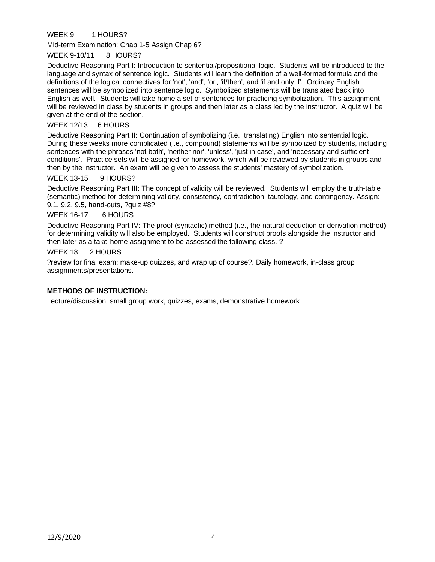## WEEK 9 1 HOURS?

Mid-term Examination: Chap 1-5 Assign Chap 6?

#### WEEK 9-10/11 8 HOURS?

Deductive Reasoning Part I: Introduction to sentential/propositional logic. Students will be introduced to the language and syntax of sentence logic. Students will learn the definition of a well-formed formula and the definitions of the logical connectives for 'not', 'and', 'or', 'if/then', and 'if and only if'. Ordinary English sentences will be symbolized into sentence logic. Symbolized statements will be translated back into English as well. Students will take home a set of sentences for practicing symbolization. This assignment will be reviewed in class by students in groups and then later as a class led by the instructor. A quiz will be given at the end of the section.

#### WEEK 12/13 6 HOURS

Deductive Reasoning Part II: Continuation of symbolizing (i.e., translating) English into sentential logic. During these weeks more complicated (i.e., compound) statements will be symbolized by students, including sentences with the phrases 'not both', 'neither nor', 'unless', 'just in case', and 'necessary and sufficient conditions'. Practice sets will be assigned for homework, which will be reviewed by students in groups and then by the instructor. An exam will be given to assess the students' mastery of symbolization.

#### WEEK 13-15 9 HOURS?

Deductive Reasoning Part III: The concept of validity will be reviewed. Students will employ the truth-table (semantic) method for determining validity, consistency, contradiction, tautology, and contingency. Assign: 9.1, 9.2, 9.5, hand-outs, ?quiz #8?

#### WEEK 16-17 6 HOURS

Deductive Reasoning Part IV: The proof (syntactic) method (i.e., the natural deduction or derivation method) for determining validity will also be employed. Students will construct proofs alongside the instructor and then later as a take-home assignment to be assessed the following class. ?

#### WEEK 18 2 HOURS

?review for final exam: make-up quizzes, and wrap up of course?. Daily homework, in-class group assignments/presentations.

#### **METHODS OF INSTRUCTION:**

Lecture/discussion, small group work, quizzes, exams, demonstrative homework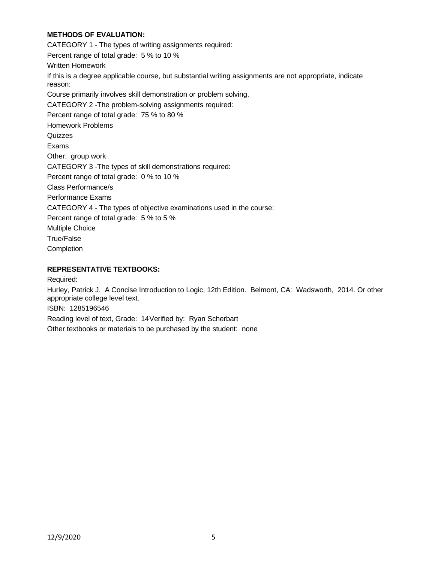## **METHODS OF EVALUATION:**

CATEGORY 1 - The types of writing assignments required: Percent range of total grade: 5 % to 10 % Written Homework If this is a degree applicable course, but substantial writing assignments are not appropriate, indicate reason: Course primarily involves skill demonstration or problem solving. CATEGORY 2 -The problem-solving assignments required: Percent range of total grade: 75 % to 80 % Homework Problems **Quizzes** Exams Other: group work CATEGORY 3 -The types of skill demonstrations required: Percent range of total grade: 0 % to 10 % Class Performance/s Performance Exams CATEGORY 4 - The types of objective examinations used in the course: Percent range of total grade: 5 % to 5 % Multiple Choice True/False Completion

### **REPRESENTATIVE TEXTBOOKS:**

Required:

Hurley, Patrick J. A Concise Introduction to Logic, 12th Edition. Belmont, CA: Wadsworth, 2014. Or other appropriate college level text.

ISBN: 1285196546

Reading level of text, Grade: 14Verified by: Ryan Scherbart

Other textbooks or materials to be purchased by the student: none